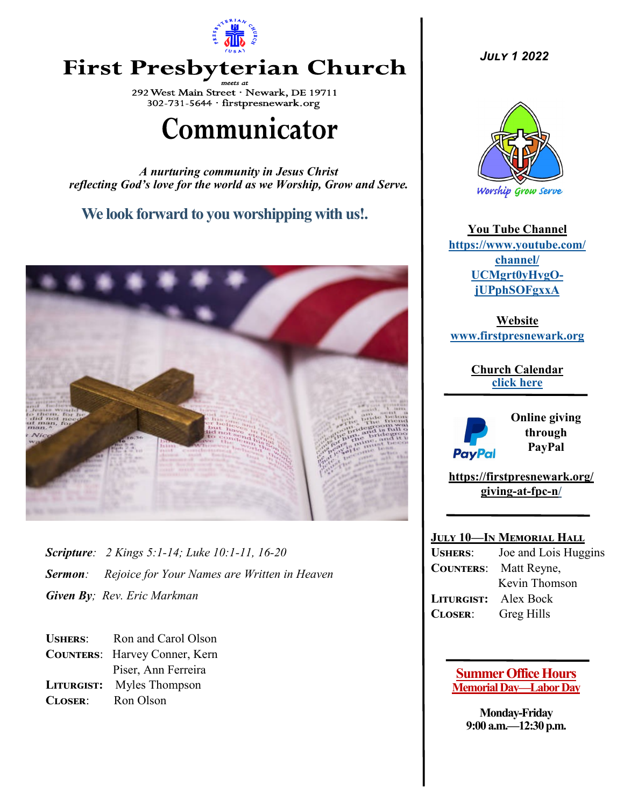

## **First Presbyterian Church**

292 West Main Street · Newark, DE 19711 302-731-5644 · firstpresnewark.org

# Communicator

*A nurturing community in Jesus Christ reflecting God's love for the world as we Worship, Grow and Serve.*

## **We look forward to you worshipping with us!.**



*Scripture: 2 Kings 5:1-14; Luke 10:1-11, 16-20 Sermon: Rejoice for Your Names are Written in Heaven Given By; Rev. Eric Markman*

**Ushers**: Ron and Carol Olson **Counters**: Harvey Conner, Kern Piser, Ann Ferreira **Liturgist:** Myles Thompson **Closer**: Ron Olson

*July 1 2022*



**You Tube Channel [https://www.youtube.com/](https://www.youtube.com/channel/UCMgrt0yHvgOjUPphSOFgxxA) [channel/](https://www.youtube.com/channel/UCMgrt0yHvgOjUPphSOFgxxA) [UCMgrt0yHvgO](https://www.youtube.com/channel/UCMgrt0yHvgOjUPphSOFgxxA)[jUPphSOFgxxA](https://www.youtube.com/channel/UCMgrt0yHvgOjUPphSOFgxxA)**

**Website www.firstpresnewark.org**

> **Church Calendar [click here](https://73901153.view-events.com)**



**Online giving through PayPal** 

**[https://firstpresnewark.org/](https://firstpresnewark.org/giving-at-fpc-n/) [giving](https://firstpresnewark.org/giving-at-fpc-n/)-at-fpc-n/**

#### **July 10—In Memorial Hall**

**Ushers**: Joe and Lois Huggins **Counters**: Matt Reyne, Kevin Thomson **Liturgist:** Alex Bock **Closer**: Greg Hills

#### **Summer Office Hours Memorial Day—Labor Day**

**Monday-Friday 9:00 a.m.—12:30 p.m.**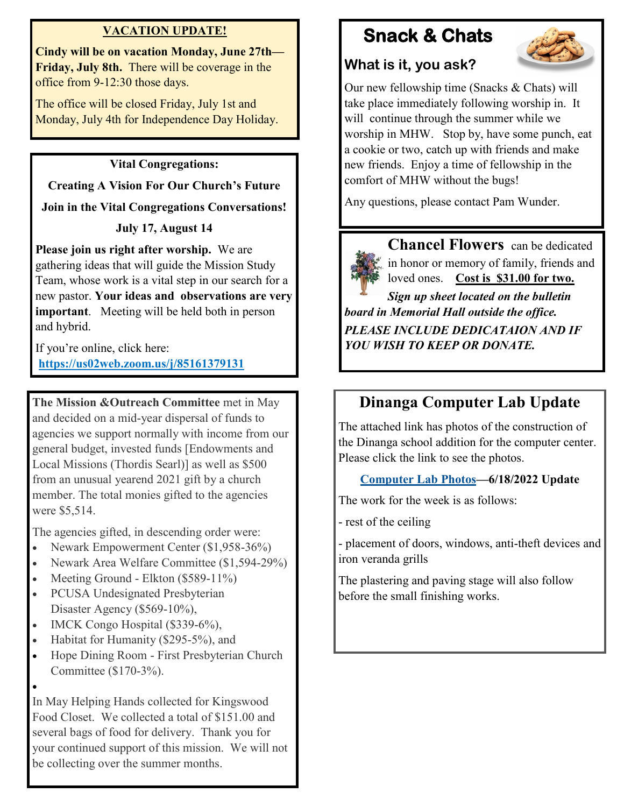### **VACATION UPDATE!**

**Cindy will be on vacation Monday, June 27th— Friday, July 8th.** There will be coverage in the office from 9-12:30 those days.

The office will be closed Friday, July 1st and Monday, July 4th for Independence Day Holiday.

### **Vital Congregations:**

**Creating A Vision For Our Church's Future**

**Join in the Vital Congregations Conversations!**

## **July 17, August 14**

**Please join us right after worship.** We are gathering ideas that will guide the Mission Study Team, whose work is a vital step in our search for a new pastor. **Your ideas and observations are very important**. Meeting will be held both in person and hybrid.

If you're online, click here: **<https://us02web.zoom.us/j/85161379131>**

**The Mission &Outreach Committee** met in May and decided on a mid-year dispersal of funds to agencies we support normally with income from our general budget, invested funds [Endowments and Local Missions (Thordis Searl)] as well as \$500 from an unusual yearend 2021 gift by a church member. The total monies gifted to the agencies were \$5,514.

The agencies gifted, in descending order were:

- Newark Empowerment Center (\$1,958-36%)
- Newark Area Welfare Committee (\$1,594-29%)
- Meeting Ground Elkton (\$589-11%)
- PCUSA Undesignated Presbyterian Disaster Agency (\$569-10%),
- IMCK Congo Hospital (\$339-6%),
- Habitat for Humanity (\$295-5%), and
- Hope Dining Room First Presbyterian Church Committee (\$170-3%).
- •

In May Helping Hands collected for Kingswood Food Closet. We collected a total of \$151.00 and several bags of food for delivery. Thank you for your continued support of this mission. We will not be collecting over the summer months.

## **Snack & Chats**



## **What is it, you ask?**

Our new fellowship time (Snacks & Chats) will take place immediately following worship in. It will continue through the summer while we worship in MHW. Stop by, have some punch, eat a cookie or two, catch up with friends and make new friends. Enjoy a time of fellowship in the comfort of MHW without the bugs!

Any questions, please contact Pam Wunder.

**Chancel Flowers** can be dedicated in honor or memory of family, friends and loved ones. **Cost is \$31.00 for two.** 

*Sign up sheet located on the bulletin board in Memorial Hall outside the office. PLEASE INCLUDE DEDICATAION AND IF YOU WISH TO KEEP OR DONATE.* 

## **Dinanga Computer Lab Update**

The attached link has photos of the construction of the Dinanga school addition for the computer center. Please click the link to see the photos.

## **[Computer Lab Photos—](http://firstpresnewark.org/wp-content/uploads/2022/06/Dinanga-School-addition-construction-photos-6-18-22.pdf)6/18/2022 Update**

The work for the week is as follows:

- rest of the ceiling

- placement of doors, windows, anti-theft devices and iron veranda grills

The plastering and paving stage will also follow before the small finishing works.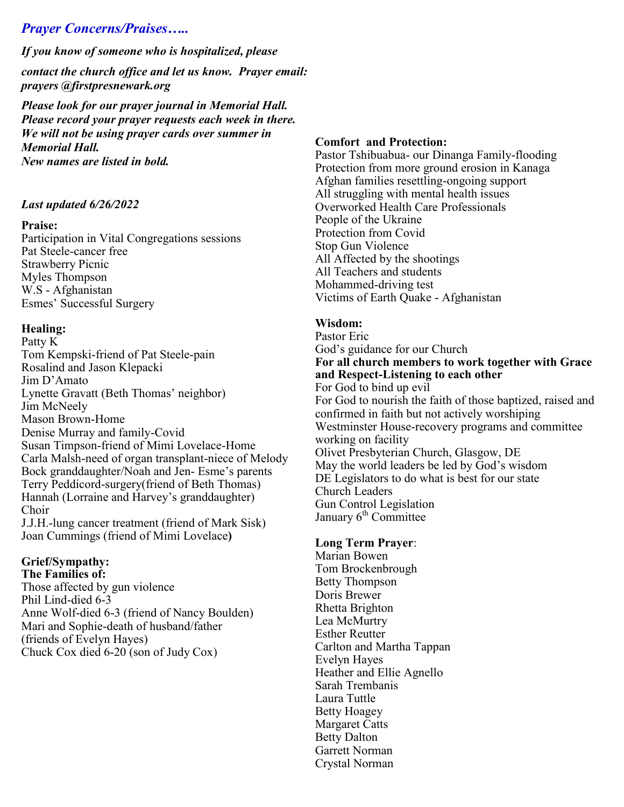## *Prayer Concerns/Praises…..*

*If you know of someone who is hospitalized, please* 

*contact the church office and let us know. Prayer email: prayers @firstpresnewark.org* 

*Please look for our prayer journal in Memorial Hall. Please record your prayer requests each week in there. We will not be using prayer cards over summer in Memorial Hall. New names are listed in bold.*

#### *Last updated 6/26/2022*

#### **Praise:**

Participation in Vital Congregations sessions Pat Steele-cancer free Strawberry Picnic Myles Thompson W.S - Afghanistan Esmes' Successful Surgery

#### **Healing:**

Patty K Tom Kempski-friend of Pat Steele-pain Rosalind and Jason Klepacki Jim D'Amato Lynette Gravatt (Beth Thomas' neighbor) Jim McNeely Mason Brown-Home Denise Murray and family-Covid Susan Timpson-friend of Mimi Lovelace-Home Carla Malsh-need of organ transplant-niece of Melody Bock granddaughter/Noah and Jen- Esme's parents Terry Peddicord-surgery(friend of Beth Thomas) Hannah (Lorraine and Harvey's granddaughter) Choir J.J.H.-lung cancer treatment (friend of Mark Sisk)

Joan Cummings (friend of Mimi Lovelace**)**

## **Grief/Sympathy:**

**The Families of:** Those affected by gun violence Phil Lind-died 6-3 Anne Wolf-died 6-3 (friend of Nancy Boulden) Mari and Sophie-death of husband/father (friends of Evelyn Hayes) Chuck Cox died 6-20 (son of Judy Cox)

#### **Comfort and Protection:**

Pastor Tshibuabua- our Dinanga Family-flooding Protection from more ground erosion in Kanaga Afghan families resettling-ongoing support All struggling with mental health issues Overworked Health Care Professionals People of the Ukraine Protection from Covid Stop Gun Violence All Affected by the shootings All Teachers and students Mohammed-driving test Victims of Earth Quake - Afghanistan

#### **Wisdom:**

Pastor Eric God's guidance for our Church **For all church members to work together with Grace and Respect-Listening to each other** For God to bind up evil For God to nourish the faith of those baptized, raised and confirmed in faith but not actively worshiping Westminster House-recovery programs and committee working on facility Olivet Presbyterian Church, Glasgow, DE May the world leaders be led by God's wisdom DE Legislators to do what is best for our state Church Leaders Gun Control Legislation January 6<sup>th</sup> Committee

#### **Long Term Prayer**:

Marian Bowen Tom Brockenbrough Betty Thompson Doris Brewer Rhetta Brighton Lea McMurtry Esther Reutter Carlton and Martha Tappan Evelyn Hayes Heather and Ellie Agnello Sarah Trembanis Laura Tuttle Betty Hoagey Margaret Catts Betty Dalton Garrett Norman Crystal Norman